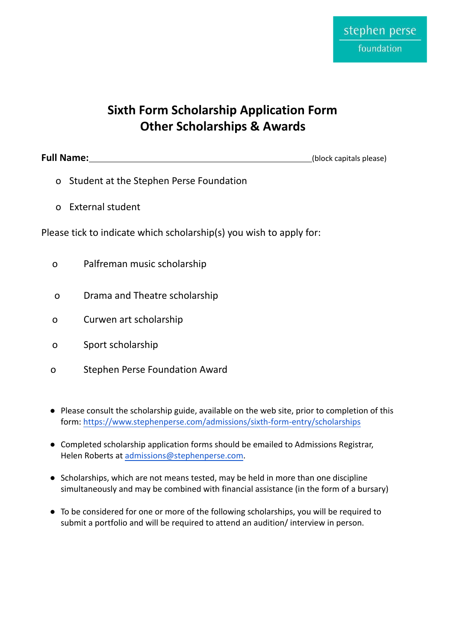# **Sixth Form Scholarship Application Form Other Scholarships & Awards**

**Full Name:** (block capitals please)

- o Student at the Stephen Perse Foundation
- o External student

Please tick to indicate which scholarship(s) you wish to apply for:

- o Palfreman music scholarship
- o Drama and Theatre scholarship
- o Curwen art scholarship
- o Sport scholarship
- o Stephen Perse Foundation Award
- Please consult the scholarship guide, available on the web site, prior to completion of this form: [https://www.stephenperse.com/admissions/sixth-form-entry/scholarships](http://www.stephenperse.com/admissions/sixth-form-entry/scholarships)
- Completed scholarship application forms should be emailed to Admissions Registrar, Helen Roberts at [admissions@stephenperse.com.](mailto:admissions@stephenperse.com)
- Scholarships, which are not means tested, may be held in more than one discipline simultaneously and may be combined with financial assistance (in the form of a bursary)
- To be considered for one or more of the following scholarships, you will be required to submit a portfolio and will be required to attend an audition/ interview in person.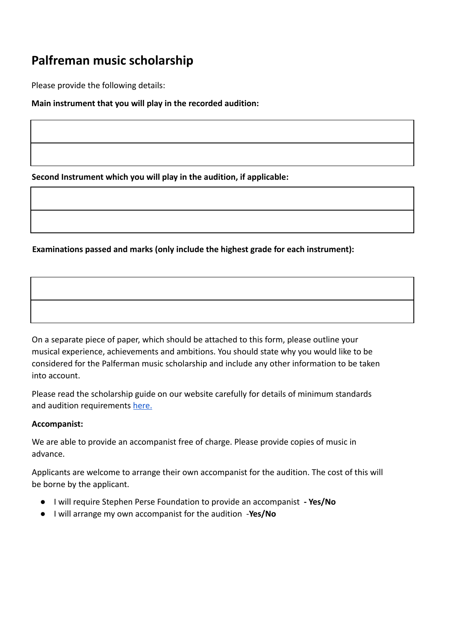## **Palfreman music scholarship**

Please provide the following details:

**Main instrument that you will play in the recorded audition:**

**Second Instrument which you will play in the audition, if applicable:**

**Examinations passed and marks (only include the highest grade for each instrument):**

On a separate piece of paper, which should be attached to this form, please outline your musical experience, achievements and ambitions. You should state why you would like to be considered for the Palferman music scholarship and include any other information to be taken into account.

Please read the scholarship guide on our website carefully for details of minimum standards and audition requirements [here.](https://www.stephenperse.com/page/?title=Palfreman%2BMusic%2BScholarships&pid=667)

#### **Accompanist:**

We are able to provide an accompanist free of charge. Please provide copies of music in advance.

Applicants are welcome to arrange their own accompanist for the audition. The cost of this will be borne by the applicant.

- I will require Stephen Perse Foundation to provide an accompanist  **Yes/No**
- I will arrange my own accompanist for the audition -**Yes/No**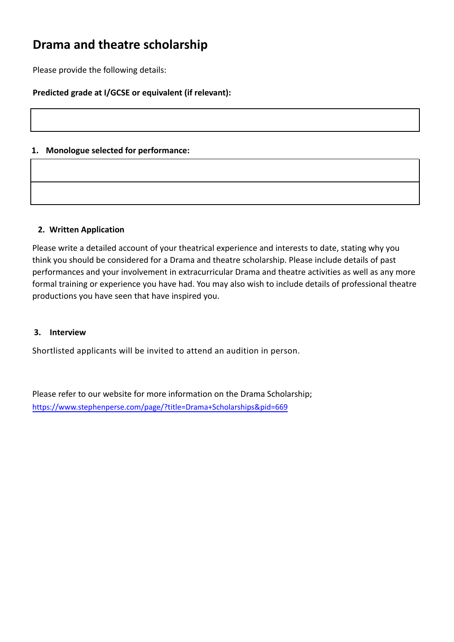# **Drama and theatre scholarship**

Please provide the following details:

### **Predicted grade at I/GCSE or equivalent (if relevant):**

### **1. Monologue selected for performance:**

#### **2. Written Application**

Please write a detailed account of your theatrical experience and interests to date, stating why you think you should be considered for a Drama and theatre scholarship. Please include details of past performances and your involvement in extracurricular Drama and theatre activities as well as any more formal training or experience you have had. You may also wish to include details of professional theatre productions you have seen that have inspired you.

#### **3. Interview**

Shortlisted applicants will be invited to attend an audition in person.

Please refer to our website for more information on the Drama Scholarship; https://www.stephenperse.com/page/?title=Drama+Scholarships&pid=669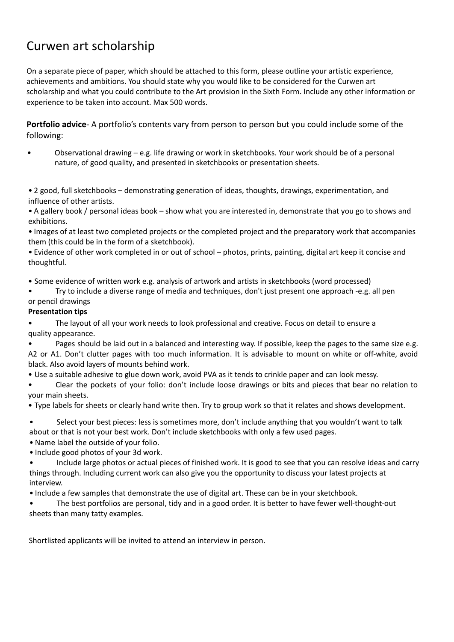# Curwen art scholarship

On a separate piece of paper, which should be attached to this form, please outline your artistic experience, achievements and ambitions. You should state why you would like to be considered for the Curwen art scholarship and what you could contribute to the Art provision in the Sixth Form. Include any other information or experience to be taken into account. Max 500 words.

**Portfolio advice**- A portfolio's contents vary from person to person but you could include some of the following:

• Observational drawing – e.g. life drawing or work in sketchbooks. Your work should be of a personal nature, of good quality, and presented in sketchbooks or presentation sheets.

• 2 good, full sketchbooks – demonstrating generation of ideas, thoughts, drawings, experimentation, and influence of other artists.

• A gallery book / personal ideas book – show what you are interested in, demonstrate that you go to shows and exhibitions.

• Images of at least two completed projects or the completed project and the preparatory work that accompanies them (this could be in the form of a sketchbook).

• Evidence of other work completed in or out of school – photos, prints, painting, digital art keep it concise and thoughtful.

• Some evidence of written work e.g. analysis of artwork and artists in sketchbooks (word processed)

• Try to include a diverse range of media and techniques, don't just present one approach -e.g. all pen

### or pencil drawings

### **Presentation tips**

• The layout of all your work needs to look professional and creative. Focus on detail to ensure a quality appearance.

• Pages should be laid out in a balanced and interesting way. If possible, keep the pages to the same size e.g. A2 or A1. Don't clutter pages with too much information. It is advisable to mount on white or off-white, avoid black. Also avoid layers of mounts behind work.

• Use a suitable adhesive to glue down work, avoid PVA as it tends to crinkle paper and can look messy.

• Clear the pockets of your folio: don't include loose drawings or bits and pieces that bear no relation to your main sheets.

• Type labels for sheets or clearly hand write then. Try to group work so that it relates and shows development.

• Select your best pieces: less is sometimes more, don't include anything that you wouldn't want to talk about or that is not your best work. Don't include sketchbooks with only a few used pages.

• Name label the outside of your folio.

• Include good photos of your 3d work.

- Include large photos or actual pieces of finished work. It is good to see that you can resolve ideas and carry things through. Including current work can also give you the opportunity to discuss your latest projects at interview.
- Include a few samples that demonstrate the use of digital art. These can be in your sketchbook.
- The best portfolios are personal, tidy and in a good order. It is better to have fewer well-thought-out sheets than many tatty examples.

[Shortlisted applicants will be invited to attend an interview in person.](http://www.curwenprintstudy.co.uk/)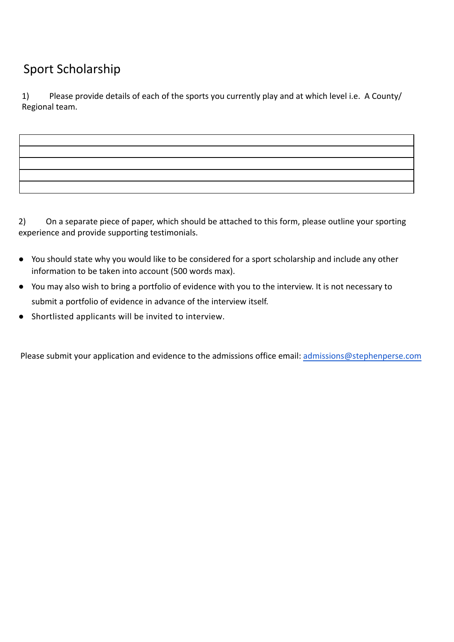# Sport Scholarship

1) Please provide details of each of the sports you currently play and at which level i.e. A County/ Regional team.

2) On a separate piece of paper, which should be attached to this form, please outline your sporting experience and provide supporting testimonials.

- You should state why you would like to be considered for a sport scholarship and include any other information to be taken into account (500 words max).
- You may also wish to bring a portfolio of evidence with you to the interview. It is not necessary to submit a portfolio of evidence in advance of the interview itself.
- Shortlisted applicants will be invited to interview.

Please submit your application and evidence to the admissions office email: admissions@stephenperse.com